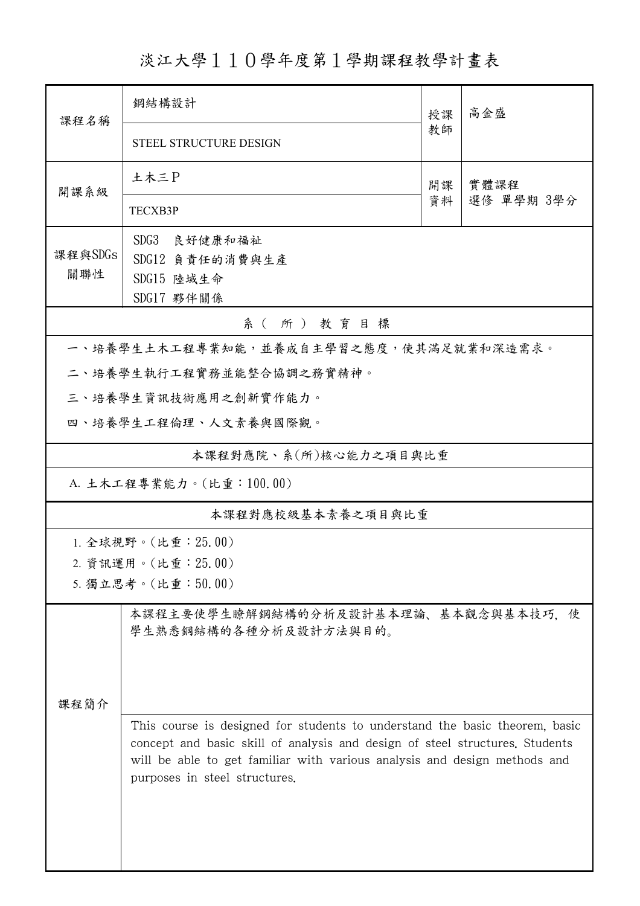淡江大學110學年度第1學期課程教學計畫表

| 課程名稱                                                                                                                                                                                                                                                                      | 鋼結構設計<br>授課                                                   |          | 高金盛                |  |  |  |  |
|---------------------------------------------------------------------------------------------------------------------------------------------------------------------------------------------------------------------------------------------------------------------------|---------------------------------------------------------------|----------|--------------------|--|--|--|--|
|                                                                                                                                                                                                                                                                           | STEEL STRUCTURE DESIGN                                        | 教師       |                    |  |  |  |  |
| 開課系級                                                                                                                                                                                                                                                                      | 土木三P                                                          | 開課<br>資料 | 實體課程<br>選修 單學期 3學分 |  |  |  |  |
|                                                                                                                                                                                                                                                                           | TECXB3P                                                       |          |                    |  |  |  |  |
| 課程與SDGs                                                                                                                                                                                                                                                                   | SDG3<br>良好健康和福祉                                               |          |                    |  |  |  |  |
| 關聯性                                                                                                                                                                                                                                                                       | SDG12 負責任的消費與生產<br>SDG15 陸域生命                                 |          |                    |  |  |  |  |
|                                                                                                                                                                                                                                                                           | SDG17 夥伴關係                                                    |          |                    |  |  |  |  |
|                                                                                                                                                                                                                                                                           | 系(所)教育目標                                                      |          |                    |  |  |  |  |
|                                                                                                                                                                                                                                                                           | 一、培養學生土木工程專業知能,並養成自主學習之態度,使其滿足就業和深造需求。                        |          |                    |  |  |  |  |
|                                                                                                                                                                                                                                                                           | 二、培養學生執行工程實務並能整合協調之務實精神。                                      |          |                    |  |  |  |  |
|                                                                                                                                                                                                                                                                           | 三、培養學生資訊技術應用之創新實作能力。                                          |          |                    |  |  |  |  |
|                                                                                                                                                                                                                                                                           | 四、培養學生工程倫理、人文素養與國際觀。                                          |          |                    |  |  |  |  |
|                                                                                                                                                                                                                                                                           | 本課程對應院、系(所)核心能力之項目與比重                                         |          |                    |  |  |  |  |
| A. 土木工程專業能力。(比重:100.00)                                                                                                                                                                                                                                                   |                                                               |          |                    |  |  |  |  |
| 本課程對應校級基本素養之項目與比重                                                                                                                                                                                                                                                         |                                                               |          |                    |  |  |  |  |
|                                                                                                                                                                                                                                                                           | 1. 全球視野。(比重:25.00)                                            |          |                    |  |  |  |  |
| 2. 資訊運用。(比重: 25.00)                                                                                                                                                                                                                                                       |                                                               |          |                    |  |  |  |  |
|                                                                                                                                                                                                                                                                           | 5. 獨立思考。(比重:50.00)                                            |          |                    |  |  |  |  |
|                                                                                                                                                                                                                                                                           | 本課程主要使學生瞭解鋼結構的分析及設計基本理論、基本觀念與基本技巧, 使<br>學生熟悉鋼結構的各種分析及設計方法與目的。 |          |                    |  |  |  |  |
| 課程簡介                                                                                                                                                                                                                                                                      |                                                               |          |                    |  |  |  |  |
| This course is designed for students to understand the basic theorem, basic<br>concept and basic skill of analysis and design of steel structures. Students<br>will be able to get familiar with various analysis and design methods and<br>purposes in steel structures. |                                                               |          |                    |  |  |  |  |
|                                                                                                                                                                                                                                                                           |                                                               |          |                    |  |  |  |  |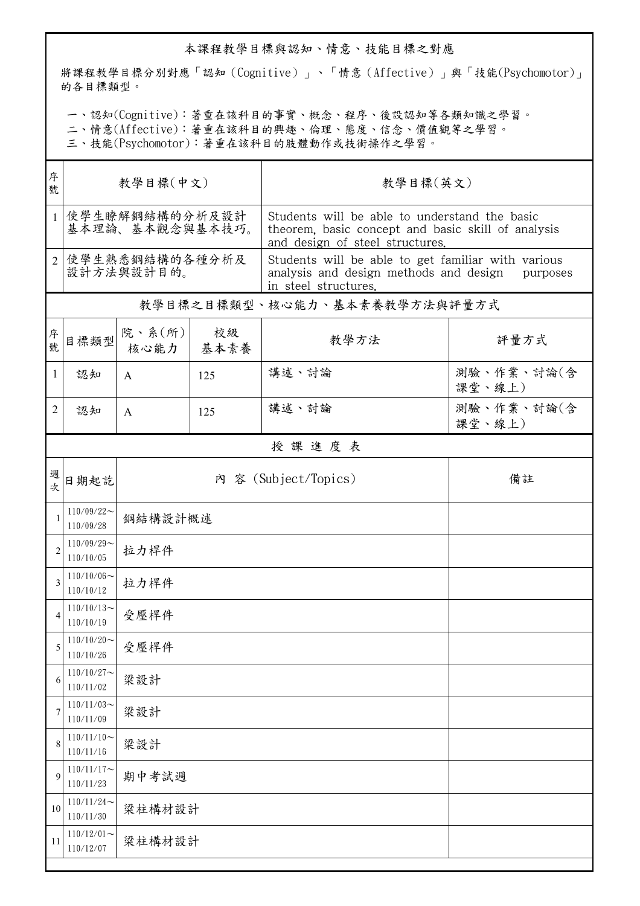## 本課程教學目標與認知、情意、技能目標之對應

將課程教學目標分別對應「認知(Cognitive)」、「情意(Affective)」與「技能(Psychomotor)」 的各目標類型。

一、認知(Cognitive):著重在該科目的事實、概念、程序、後設認知等各類知識之學習。

二、情意(Affective):著重在該科目的興趣、倫理、態度、信念、價值觀等之學習。

三、技能(Psychomotor):著重在該科目的肢體動作或技術操作之學習。

| 序<br>號         | 教學目標(中文)                          |                |            | 教學目標(英文)                                                                                                                               |                      |  |  |  |
|----------------|-----------------------------------|----------------|------------|----------------------------------------------------------------------------------------------------------------------------------------|----------------------|--|--|--|
| 1 <sup>1</sup> | 使學生瞭解鋼結構的分析及設計<br>基本理論、基本觀念與基本技巧。 |                |            | Students will be able to understand the basic<br>theorem, basic concept and basic skill of analysis<br>and design of steel structures. |                      |  |  |  |
|                | 2 使學生熟悉鋼結構的各種分析及<br>設計方法與設計目的。    |                |            | Students will be able to get familiar with various<br>analysis and design methods and design purposes<br>in steel structures.          |                      |  |  |  |
|                |                                   |                |            | 教學目標之目標類型、核心能力、基本素養教學方法與評量方式                                                                                                           |                      |  |  |  |
| 序號             | 目標類型                              | 院、系(所)<br>核心能力 | 校級<br>基本素養 | 教學方法                                                                                                                                   | 評量方式                 |  |  |  |
| 1              | 認知                                | A              | 125        | 講述、討論                                                                                                                                  | 測驗、作業、討論(含<br>課堂、線上) |  |  |  |
| 2              | 認知                                | $\mathsf{A}$   | 125        | 講述、討論                                                                                                                                  | 測驗、作業、討論(含<br>課堂、線上) |  |  |  |
|                | 授課進度表                             |                |            |                                                                                                                                        |                      |  |  |  |
| 週<br>次         | 日期起訖                              |                |            | 內 容 (Subject/Topics)                                                                                                                   | 備註                   |  |  |  |
|                | $110/09/22$ ~<br>110/09/28        | 鋼結構設計概述        |            |                                                                                                                                        |                      |  |  |  |
| $\overline{2}$ | $110/09/29$ ~<br>110/10/05        | 拉力桿件           |            |                                                                                                                                        |                      |  |  |  |
| 3              | $110/10/06 \sim$<br>110/10/12     | 拉力桿件           |            |                                                                                                                                        |                      |  |  |  |
| $\overline{4}$ | $110/10/13$ ~<br>110/10/19        | 受壓桿件           |            |                                                                                                                                        |                      |  |  |  |
| 5              | $110/10/20 -$<br>110/10/26        | 受壓桿件           |            |                                                                                                                                        |                      |  |  |  |
| 6              | $110/10/27$ ~<br>110/11/02        | 梁設計            |            |                                                                                                                                        |                      |  |  |  |
| 7              | $110/11/03$ ~<br>110/11/09        | 梁設計            |            |                                                                                                                                        |                      |  |  |  |
| 8              | $110/11/10$ ~<br>110/11/16        | 梁設計            |            |                                                                                                                                        |                      |  |  |  |
| 9              | $110/11/17$ ~<br>110/11/23        | 期中考試週          |            |                                                                                                                                        |                      |  |  |  |
| 10             | $110/11/24$ ~<br>110/11/30        | 梁柱構材設計         |            |                                                                                                                                        |                      |  |  |  |
| 11             | $110/12/01$ ~<br>110/12/07        | 梁柱構材設計         |            |                                                                                                                                        |                      |  |  |  |